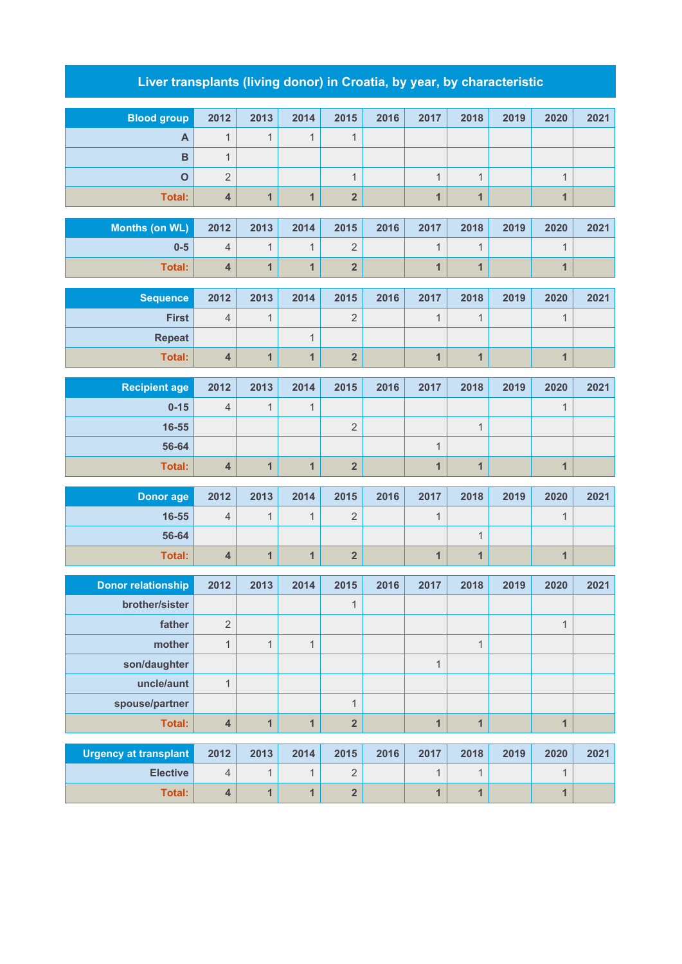## **Liver transplants (living donor) in Croatia, by year, by characteristic**

| <b>Blood group</b>                          | 2012                                  | 2013                         | 2014                         | 2015                                      | 2016 | 2017                         | 2018                         | 2019 | 2020                    | 2021 |
|---------------------------------------------|---------------------------------------|------------------------------|------------------------------|-------------------------------------------|------|------------------------------|------------------------------|------|-------------------------|------|
| $\overline{A}$                              | $\mathbf{1}$                          | $\mathbf{1}$                 | $\mathbf{1}$                 | $\mathbf{1}$                              |      |                              |                              |      |                         |      |
| $\overline{B}$                              | $\mathbf{1}$                          |                              |                              |                                           |      |                              |                              |      |                         |      |
| $\overline{O}$                              | $\sqrt{2}$                            |                              |                              | $\overline{1}$                            |      | $\mathbf{1}$                 | $\mathbf{1}$                 |      | $\mathbf{1}$            |      |
| <b>Total:</b>                               | $\overline{\mathbf{4}}$               | $\mathbf{1}$                 | $\mathbf{1}$                 | $\overline{\mathbf{2}}$                   |      | $\overline{1}$               | $\mathbf{1}$                 |      | 1                       |      |
| <b>Months (on WL)</b>                       | 2012                                  | 2013                         | 2014                         | 2015                                      | 2016 | 2017                         | 2018                         | 2019 | 2020                    | 2021 |
| $0 - 5$                                     | $\overline{4}$                        | $\mathbf{1}$                 | $\mathbf{1}$                 | $\overline{2}$                            |      | $\mathbf{1}$                 | $\mathbf{1}$                 |      | $\mathbf{1}$            |      |
| <b>Total:</b>                               | 4                                     | $\mathbf{1}$                 | $\mathbf{1}$                 | $\overline{\mathbf{2}}$                   |      | 1                            | $\mathbf{1}$                 |      | $\overline{\mathbf{1}}$ |      |
|                                             |                                       |                              |                              |                                           |      |                              |                              |      |                         |      |
| <b>Sequence</b>                             | 2012                                  | 2013                         | 2014                         | 2015                                      | 2016 | 2017                         | 2018                         | 2019 | 2020                    | 2021 |
| <b>First</b>                                | $\overline{4}$                        | $\mathbf{1}$                 |                              | $\overline{2}$                            |      | $\mathbf{1}$                 | $\mathbf{1}$                 |      | $\mathbf 1$             |      |
| <b>Repeat</b>                               |                                       |                              | $\mathbf{1}$                 |                                           |      |                              |                              |      |                         |      |
| <b>Total:</b>                               | $\overline{\mathbf{4}}$               | $\mathbf{1}$                 | $\mathbf{1}$                 | $\overline{\mathbf{2}}$                   |      | $\mathbf{1}$                 | $\mathbf{1}$                 |      | $\mathbf{1}$            |      |
| <b>Recipient age</b>                        | 2012                                  | 2013                         | 2014                         | 2015                                      | 2016 | 2017                         | 2018                         | 2019 | 2020                    | 2021 |
| $0 - 15$                                    | $\overline{4}$                        | $\mathbf{1}$                 | $\mathbf{1}$                 |                                           |      |                              |                              |      | $\mathbf{1}$            |      |
| 16-55                                       |                                       |                              |                              | $\overline{2}$                            |      |                              | $\mathbf{1}$                 |      |                         |      |
| 56-64                                       |                                       |                              |                              |                                           |      | $\mathbf{1}$                 |                              |      |                         |      |
| Total:                                      | $\overline{\mathbf{4}}$               | $\mathbf{1}$                 | $\mathbf{1}$                 | $\overline{\mathbf{2}}$                   |      | $\overline{1}$               | $\mathbf{1}$                 |      | 1                       |      |
| <b>Donor age</b>                            | 2012                                  | 2013                         | 2014                         | 2015                                      | 2016 | 2017                         | 2018                         | 2019 | 2020                    | 2021 |
| 16-55                                       | $\overline{4}$                        | $\mathbf{1}$                 | $\mathbf{1}$                 | $\overline{2}$                            |      | $\mathbf{1}$                 |                              |      | $\mathbf{1}$            |      |
| 56-64                                       |                                       |                              |                              |                                           |      |                              | $\mathbf{1}$                 |      |                         |      |
| <b>Total:</b>                               | $\overline{\mathbf{4}}$               | $\mathbf{1}$                 | $\overline{1}$               | $\overline{2}$                            |      | $\mathbf{1}$                 | $\mathbf{1}$                 |      | $\mathbf{1}$            |      |
|                                             | 2012                                  | 2013                         |                              | 2015                                      | 2016 | 2017                         | 2018                         | 2019 |                         | 2021 |
| <b>Donor relationship</b><br>brother/sister |                                       |                              | 2014                         | $\mathbf{1}$                              |      |                              |                              |      | 2020                    |      |
| father                                      | $\sqrt{2}$                            |                              |                              |                                           |      |                              |                              |      | $\mathbf{1}$            |      |
| mother                                      | $\mathbf{1}$                          | $\mathbf{1}$                 | $\mathbf{1}$                 |                                           |      |                              | $\mathbf{1}$                 |      |                         |      |
| son/daughter                                |                                       |                              |                              |                                           |      | $\mathbf{1}$                 |                              |      |                         |      |
| uncle/aunt                                  | $\mathbf{1}$                          |                              |                              |                                           |      |                              |                              |      |                         |      |
| spouse/partner                              |                                       |                              |                              | $\mathbf{1}$                              |      |                              |                              |      |                         |      |
| Total:                                      | $\overline{\mathbf{4}}$               | $\mathbf{1}$                 | $\mathbf{1}$                 | $\overline{\mathbf{2}}$                   |      | $\mathbf{1}$                 | $\mathbf{1}$                 |      | $\overline{\mathbf{1}}$ |      |
|                                             |                                       |                              |                              |                                           |      |                              |                              |      |                         |      |
| <b>Urgency at transplant</b>                | 2012                                  | 2013                         | 2014                         | 2015                                      | 2016 | 2017                         | 2018                         | 2019 | 2020                    | 2021 |
| <b>Elective</b><br>Total:                   | $\sqrt{4}$<br>$\overline{\mathbf{4}}$ | $\mathbf{1}$<br>$\mathbf{1}$ | $\mathbf{1}$<br>$\mathbf{1}$ | $\overline{2}$<br>$\overline{\mathbf{2}}$ |      | $\mathbf{1}$<br>$\mathbf{1}$ | $\mathbf{1}$<br>$\mathbf{1}$ |      | $\mathbf{1}$<br>1       |      |